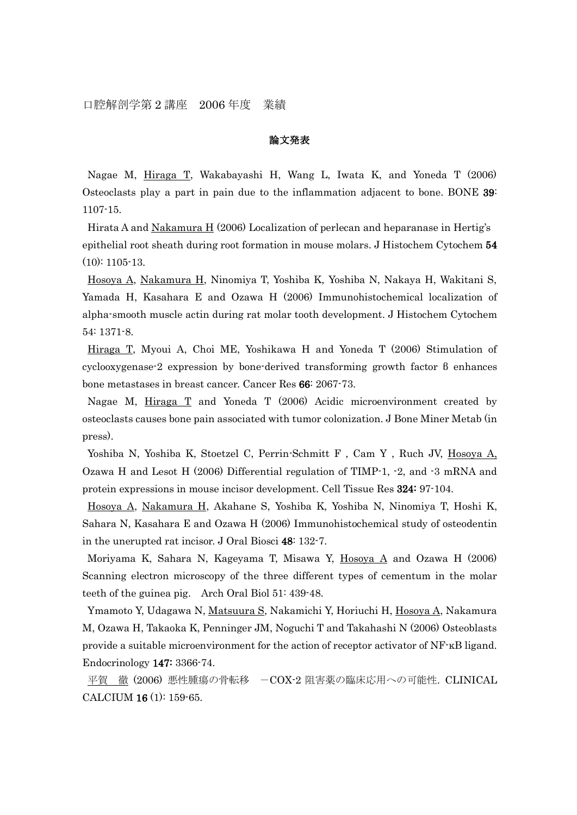### 論文発表

Nagae M, Hiraga T, Wakabayashi H, Wang L, Iwata K, and Yoneda T (2006) Osteoclasts play a part in pain due to the inflammation adjacent to bone. BONE 39: 1107-15.

Hirata A and Nakamura H (2006) Localization of perlecan and heparanase in Hertig's epithelial root sheath during root formation in mouse molars. J Histochem Cytochem 54 (10): 1105-13.

Hosoya A, Nakamura H, Ninomiya T, Yoshiba K, Yoshiba N, Nakaya H, Wakitani S, Yamada H, Kasahara E and Ozawa H (2006) Immunohistochemical localization of alpha-smooth muscle actin during rat molar tooth development. J Histochem Cytochem 54: 1371-8.

Hiraga T, Myoui A, Choi ME, Yoshikawa H and Yoneda T (2006) Stimulation of cyclooxygenase-2 expression by bone-derived transforming growth factor β enhances bone metastases in breast cancer. Cancer Res 66: 2067-73.

Nagae M, Hiraga T and Yoneda T (2006) Acidic microenvironment created by osteoclasts causes bone pain associated with tumor colonization. J Bone Miner Metab (in press).

Yoshiba N, Yoshiba K, Stoetzel C, Perrin-Schmitt F , Cam Y , Ruch JV, Hosoya A, Ozawa H and Lesot H (2006) Differential regulation of TIMP-1, -2, and -3 mRNA and protein expressions in mouse incisor development. Cell Tissue Res 324: 97-104.

Hosoya A, Nakamura H, Akahane S, Yoshiba K, Yoshiba N, Ninomiya T, Hoshi K, Sahara N, Kasahara E and Ozawa H (2006) Immunohistochemical study of osteodentin in the unerupted rat incisor. J Oral Biosci 48: 132-7.

Moriyama K, Sahara N, Kageyama T, Misawa Y, Hosoya A and Ozawa H (2006) Scanning electron microscopy of the three different types of cementum in the molar teeth of the guinea pig. Arch Oral Biol 51: 439-48.

Ymamoto Y, Udagawa N, Matsuura S, Nakamichi Y, Horiuchi H, Hosoya A, Nakamura M, Ozawa H, Takaoka K, Penninger JM, Noguchi T and Takahashi N (2006) Osteoblasts provide a suitable microenvironment for the action of receptor activator of NF-κB ligand. Endocrinology 147: 3366-74.

平賀 徹 (2006) 悪性腫瘍の骨転移 -COX-2 阻害薬の臨床応用への可能性. CLINICAL CALCIUM 16 (1): 159-65.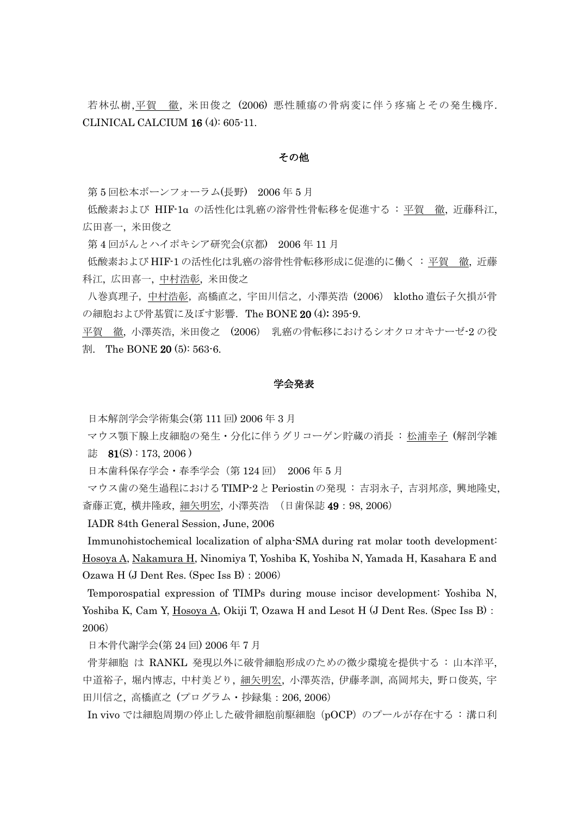若林弘樹,平賀 徹, 米田俊之 (2006) 悪性腫瘍の骨病変に伴う疼痛とその発生機序. CLINICAL CALCIUM 16 (4): 605-11.

#### その他

第 5 回松本ボーンフォーラム(長野) 2006 年 5 月

低酸素および HIF-1α の活性化は乳癌の溶骨性骨転移を促進する : 平賀 徹, 近藤科江, 広田喜一, 米田俊之

第 4 回がんとハイポキシア研究会(京都) 2006 年 11 月

低酸素および HIF-1の活性化は乳癌の溶骨性骨転移形成に促進的に働く:平賀 徹, 近藤 科江, 広田喜一, 中村浩彰, 米田俊之

八巻真理子,中村浩彰,高橋直之,宇田川信之,小澤英浩 (2006) klotho 遺伝子欠損が骨 の細胞および骨基質に及ぼす影響. The BONE 20 (4): 395-9.

平賀 徹, 小澤英浩, 米田俊之 (2006) 乳癌の骨転移におけるシオクロオキナーゼ-2 の役 割. The BONE 20 (5): 563-6.

### 学会発表

日本解剖学会学術集会(第 111 回) 2006 年 3 月

マウス顎下腺上皮細胞の発生・分化に伴うグリコーゲン貯蔵の消長 : 松浦幸子 (解剖学雑 誌 81(S): 173, 2006)

日本歯科保存学会・春季学会(第 124 回) 2006 年 5 月

マウス歯の発生過程におけるTIMP-2とPeriostinの発現 : 吉羽永子, 吉羽邦彦, 興地隆史, 斎藤正寛, 横井隆政, 細矢明宏, 小澤英浩 (日歯保誌 49:98, 2006)

IADR 84th General Session, June, 2006

Immunohistochemical localization of alpha-SMA during rat molar tooth development: Hosoya A, Nakamura H, Ninomiya T, Yoshiba K, Yoshiba N, Yamada H, Kasahara E and Ozawa H (J Dent Res. (Spec Iss B):2006)

Temporospatial expression of TIMPs during mouse incisor development: Yoshiba N, Yoshiba K, Cam Y, Hosoya A, Okiji T, Ozawa H and Lesot H (J Dent Res. (Spec Iss B): 2006)

日本骨代謝学会(第 24 回) 2006 年 7 月

骨芽細胞 は RANKL 発現以外に破骨細胞形成のための微少環境を提供する : 山本洋平, 中道裕子, 堀内博志, 中村美どり, 細矢明宏, 小澤英浩, 伊藤孝訓, 高岡邦夫, 野口俊英, 宇 田川信之, 高橋直之 (プログラム・抄録集:206, 2006)

In vivo では細胞周期の停止した破骨細胞前駆細胞(pOCP)のプールが存在する : 溝口利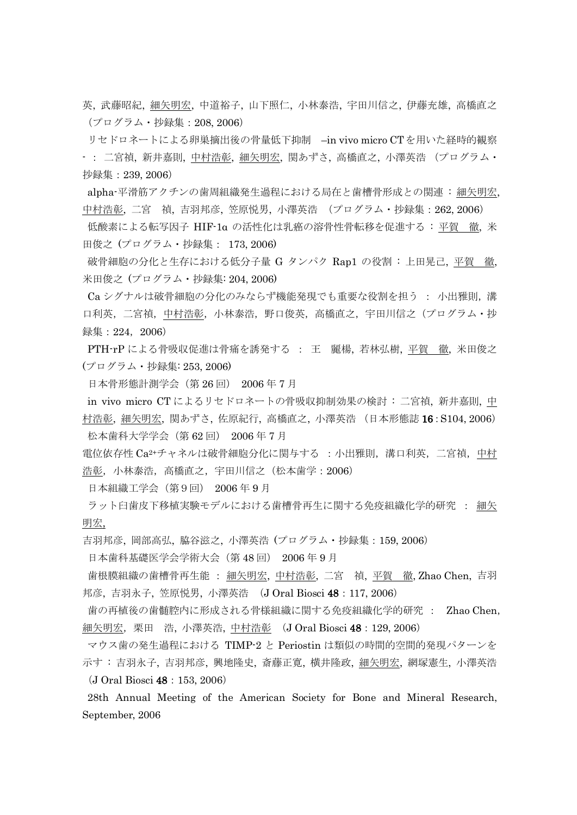英, 武藤昭紀, 細矢明宏, 中道裕子, 山下照仁, 小林泰浩, 宇田川信之, 伊藤充雄, 高橋直之 (プログラム・抄録集:208, 2006)

リセドロネートによる卵巣摘出後の骨量低下抑制 -in vivo micro CTを用いた経時的観察 - : 二宮禎, 新井嘉則, 中村浩彰, 細矢明宏, 関あずさ, 高橋直之, 小澤英浩 (プログラム・ 抄録集:239, 2006)

alpha-平滑筋アクチンの歯周組織発生過程における局在と歯槽骨形成との関連 : 細矢明宏, 中村浩彰, 二宮 禎, 吉羽邦彦, 笠原悦男, 小澤英浩 (プログラム・抄録集:262, 2006)

低酸素による転写因子 HIF-1α の活性化は乳癌の溶骨性骨転移を促進する : 平賀 徹, 米 田俊之 (プログラム・抄録集: 173, 2006)

破骨細胞の分化と生存における低分子量 G タンパク Rap1 の役割 : 上田晃己, 平賀 徹, 米田俊之 (プログラム・抄録集: 204, 2006)

Ca シグナルは破骨細胞の分化のみならず機能発現でも重要な役割を担う : 小出雅則,溝 口利英,二宮禎,中村浩彰,小林泰浩,野口俊英,高橋直之,宇田川信之(プログラム・抄 録集:224,2006)

PTH-rP による骨吸収促進は骨痛を誘発する : 王 麗楊, 若林弘樹, 平賀 徹, 米田俊之 (プログラム・抄録集: 253, 2006)

日本骨形態計測学会(第 26 回) 2006 年 7 月

in vivo micro CT によるリセドロネートの骨吸収抑制効果の検討 : 二宮禎, 新井嘉則, 中 村浩彰, 細矢明宏, 関あずさ, 佐原紀行, 高橋直之, 小澤英浩 (日本形態誌 16:S104, 2006) 松本歯科大学学会(第 62 回) 2006 年 7 月

電位依存性 Ca<sup>2+</sup>チャネルは破骨細胞分化に関与する : 小出雅則, 溝口利英, 二宮禎, 中村 浩彰,小林泰浩,高橋直之,宇田川信之(松本歯学:2006)

日本組織工学会(第9回) 2006 年 9 月

ラット臼歯皮下移植実験モデルにおける歯槽骨再生に関する免疫組織化学的研究 : 細矢 明宏,

吉羽邦彦, 岡部高弘, 脇谷滋之, 小澤英浩 (プログラム・抄録集:159, 2006)

日本歯科基礎医学会学術大会(第 48 回) 2006 年 9 月

歯根膜組織の歯槽骨再生能 : 細矢明宏, 中村浩彰, 二宮 禎, 平賀 徹, Zhao Chen, 吉羽 邦彦, 吉羽永子, 笠原悦男, 小澤英浩 (J Oral Biosci 48: 117, 2006)

歯の再植後の歯髄腔内に形成される骨様組織に関する免疫組織化学的研究 : Zhao Chen, 細矢明宏, 栗田 浩, 小澤英浩, 中村浩彰 (J Oral Biosci 48: 129, 2006)

マウス歯の発生過程における TIMP-2 と Periostin は類似の時間的空間的発現パターンを 示す : 吉羽永子, 吉羽邦彦, 興地隆史, 斎藤正寛, 横井隆政, 細矢明宏, 網塚憲生, 小澤英浩 (J Oral Biosci 48:153, 2006)

28th Annual Meeting of the American Society for Bone and Mineral Research, September, 2006